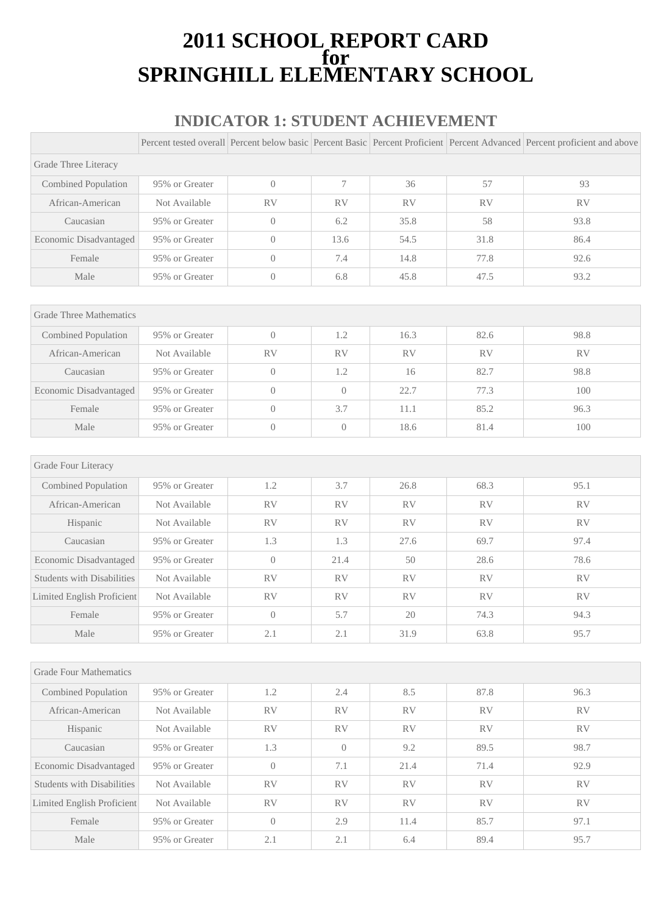### **2011 SCHOOL REPORT CARD for SPRINGHILL ELEMENTARY SCHOOL**

#### **INDICATOR 1: STUDENT ACHIEVEMENT**

|                                   |                |                  |                |           |           | Percent tested overall Percent below basic Percent Basic Percent Proficient Percent Advanced Percent proficient and above |
|-----------------------------------|----------------|------------------|----------------|-----------|-----------|---------------------------------------------------------------------------------------------------------------------------|
| Grade Three Literacy              |                |                  |                |           |           |                                                                                                                           |
| Combined Population               | 95% or Greater | $\overline{0}$   | 7              | 36        | 57        | 93                                                                                                                        |
| African-American                  | Not Available  | <b>RV</b>        | <b>RV</b>      | <b>RV</b> | <b>RV</b> | <b>RV</b>                                                                                                                 |
| Caucasian                         | 95% or Greater | $\overline{0}$   | 6.2            | 35.8      | 58        | 93.8                                                                                                                      |
| Economic Disadvantaged            | 95% or Greater | $\overline{0}$   | 13.6           | 54.5      | 31.8      | 86.4                                                                                                                      |
| Female                            | 95% or Greater | $\overline{0}$   | 7.4            | 14.8      | 77.8      | 92.6                                                                                                                      |
| Male                              | 95% or Greater | $\boldsymbol{0}$ | 6.8            | 45.8      | 47.5      | 93.2                                                                                                                      |
|                                   |                |                  |                |           |           |                                                                                                                           |
| <b>Grade Three Mathematics</b>    |                |                  |                |           |           |                                                                                                                           |
| Combined Population               | 95% or Greater | $\overline{0}$   | 1.2            | 16.3      | 82.6      | 98.8                                                                                                                      |
| African-American                  | Not Available  | RV               | RV             | RV        | <b>RV</b> | RV                                                                                                                        |
| Caucasian                         | 95% or Greater | $\overline{0}$   | 1.2            | 16        | 82.7      | 98.8                                                                                                                      |
| Economic Disadvantaged            | 95% or Greater | $\overline{0}$   | $\overline{0}$ | 22.7      | 77.3      | 100                                                                                                                       |
| Female                            | 95% or Greater | $\overline{0}$   | 3.7            | 11.1      | 85.2      | 96.3                                                                                                                      |
| Male                              | 95% or Greater | $\overline{0}$   | $\overline{0}$ | 18.6      | 81.4      | 100                                                                                                                       |
|                                   |                |                  |                |           |           |                                                                                                                           |
| Grade Four Literacy               |                |                  |                |           |           |                                                                                                                           |
| Combined Population               | 95% or Greater | 1.2              | 3.7            | 26.8      | 68.3      | 95.1                                                                                                                      |
| African-American                  | Not Available  | <b>RV</b>        | <b>RV</b>      | <b>RV</b> | <b>RV</b> | <b>RV</b>                                                                                                                 |
| Hispanic                          | Not Available  | RV               | RV             | RV        | <b>RV</b> | RV                                                                                                                        |
| Caucasian                         | 95% or Greater | 1.3              | 1.3            | 27.6      | 69.7      | 97.4                                                                                                                      |
| Economic Disadvantaged            | 95% or Greater | $\overline{0}$   | 21.4           | 50        | 28.6      | 78.6                                                                                                                      |
| <b>Students with Disabilities</b> | Not Available  | RV               | RV             | RV        | <b>RV</b> | RV                                                                                                                        |
| <b>Limited English Proficient</b> | Not Available  | RV               | RV             | RV        | <b>RV</b> | RV                                                                                                                        |
| Female                            | 95% or Greater | $\overline{0}$   | 5.7            | 20        | 74.3      | 94.3                                                                                                                      |
| Male                              | 95% or Greater | 2.1              | 2.1            | 31.9      | 63.8      | 95.7                                                                                                                      |
|                                   |                |                  |                |           |           |                                                                                                                           |
| <b>Grade Four Mathematics</b>     |                |                  |                |           |           |                                                                                                                           |
| Combined Population               | 95% or Greater | 1.2              | 2.4            | 8.5       | 87.8      | 96.3                                                                                                                      |
| African-American                  | Not Available  | RV               | RV             | RV        | RV        | RV                                                                                                                        |
| Hispanic                          | Not Available  | ${\rm RV}$       | RV             | RV        | RV        | RV                                                                                                                        |
| Caucasian                         | 95% or Greater | 1.3              | $\overline{0}$ | 9.2       | 89.5      | 98.7                                                                                                                      |
| Economic Disadvantaged            | 95% or Greater | $\overline{0}$   | 7.1            | 21.4      | 71.4      | 92.9                                                                                                                      |
| <b>Students with Disabilities</b> | Not Available  | RV               | RV             | RV        | RV        | RV                                                                                                                        |
| Limited English Proficient        | Not Available  | RV               | RV             | RV        | RV        | RV                                                                                                                        |
| Female                            | 95% or Greater | $\overline{0}$   | 2.9            | 11.4      | 85.7      | 97.1                                                                                                                      |
| Male                              | 95% or Greater | 2.1              | 2.1            | 6.4       | 89.4      | 95.7                                                                                                                      |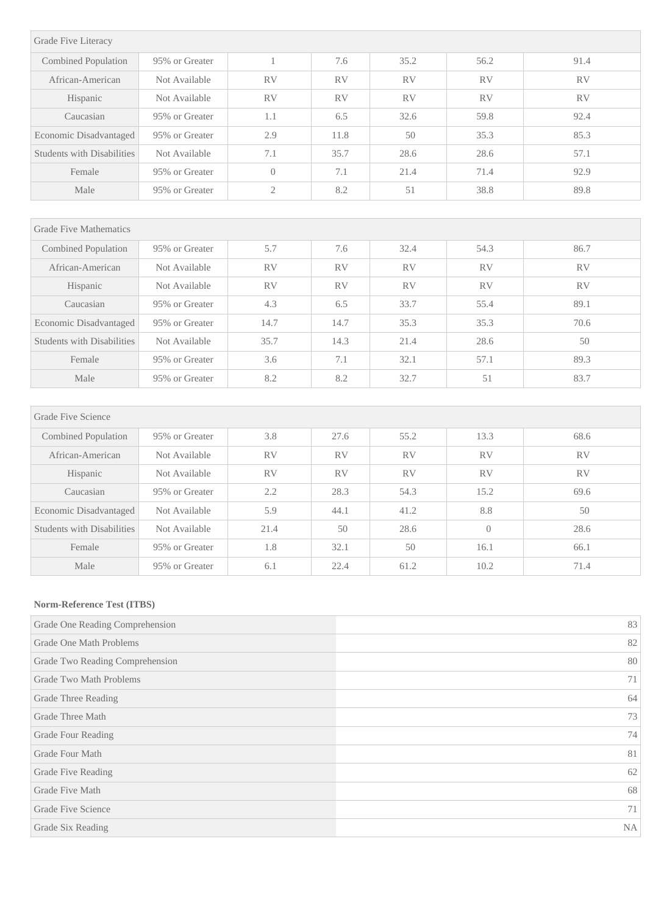| Grade Five Literacy        |                |                |           |           |           |           |
|----------------------------|----------------|----------------|-----------|-----------|-----------|-----------|
| Combined Population        | 95% or Greater |                | 7.6       | 35.2      | 56.2      | 91.4      |
| African-American           | Not Available  | <b>RV</b>      | <b>RV</b> | <b>RV</b> | <b>RV</b> | <b>RV</b> |
| Hispanic                   | Not Available  | <b>RV</b>      | <b>RV</b> | <b>RV</b> | <b>RV</b> | <b>RV</b> |
| Caucasian                  | 95% or Greater | 1.1            | 6.5       | 32.6      | 59.8      | 92.4      |
| Economic Disadvantaged     | 95% or Greater | 2.9            | 11.8      | 50        | 35.3      | 85.3      |
| Students with Disabilities | Not Available  | 7.1            | 35.7      | 28.6      | 28.6      | 57.1      |
| Female                     | 95% or Greater | $\left($       | 7.1       | 21.4      | 71.4      | 92.9      |
| Male                       | 95% or Greater | $\mathfrak{2}$ | 8.2       | 51        | 38.8      | 89.8      |
|                            |                |                |           |           |           |           |

| <b>Grade Five Mathematics</b>     |                |           |           |           |           |           |
|-----------------------------------|----------------|-----------|-----------|-----------|-----------|-----------|
| Combined Population               | 95% or Greater | 5.7       | 7.6       | 32.4      | 54.3      | 86.7      |
| African-American                  | Not Available  | <b>RV</b> | <b>RV</b> | <b>RV</b> | <b>RV</b> | <b>RV</b> |
| Hispanic                          | Not Available  | <b>RV</b> | <b>RV</b> | <b>RV</b> | <b>RV</b> | <b>RV</b> |
| Caucasian                         | 95% or Greater | 4.3       | 6.5       | 33.7      | 55.4      | 89.1      |
| Economic Disadvantaged            | 95% or Greater | 14.7      | 14.7      | 35.3      | 35.3      | 70.6      |
| <b>Students with Disabilities</b> | Not Available  | 35.7      | 14.3      | 21.4      | 28.6      | 50        |
| Female                            | 95% or Greater | 3.6       | 7.1       | 32.1      | 57.1      | 89.3      |
| Male                              | 95% or Greater | 8.2       | 8.2       | 32.7      | 51        | 83.7      |

| Grade Five Science                |                |           |           |           |           |           |
|-----------------------------------|----------------|-----------|-----------|-----------|-----------|-----------|
| Combined Population               | 95% or Greater | 3.8       | 27.6      | 55.2      | 13.3      | 68.6      |
| African-American                  | Not Available  | <b>RV</b> | <b>RV</b> | <b>RV</b> | <b>RV</b> | <b>RV</b> |
| Hispanic                          | Not Available  | <b>RV</b> | <b>RV</b> | <b>RV</b> | <b>RV</b> | <b>RV</b> |
| Caucasian                         | 95% or Greater | 2.2       | 28.3      | 54.3      | 15.2      | 69.6      |
| Economic Disadvantaged            | Not Available  | 5.9       | 44.1      | 41.2      | 8.8       | 50        |
| <b>Students with Disabilities</b> | Not Available  | 21.4      | 50        | 28.6      | $\Omega$  | 28.6      |
| Female                            | 95% or Greater | 1.8       | 32.1      | 50        | 16.1      | 66.1      |
| Male                              | 95% or Greater | 6.1       | 22.4      | 61.2      | 10.2      | 71.4      |

#### **Norm-Reference Test (ITBS)**

| Grade One Reading Comprehension | 83        |
|---------------------------------|-----------|
| Grade One Math Problems         | 82        |
| Grade Two Reading Comprehension | 80        |
| Grade Two Math Problems         | 71        |
| Grade Three Reading             | 64        |
| Grade Three Math                | 73        |
| Grade Four Reading              | 74        |
| Grade Four Math                 | 81        |
| Grade Five Reading              | 62        |
| Grade Five Math                 | 68        |
| Grade Five Science              | 71        |
| Grade Six Reading               | <b>NA</b> |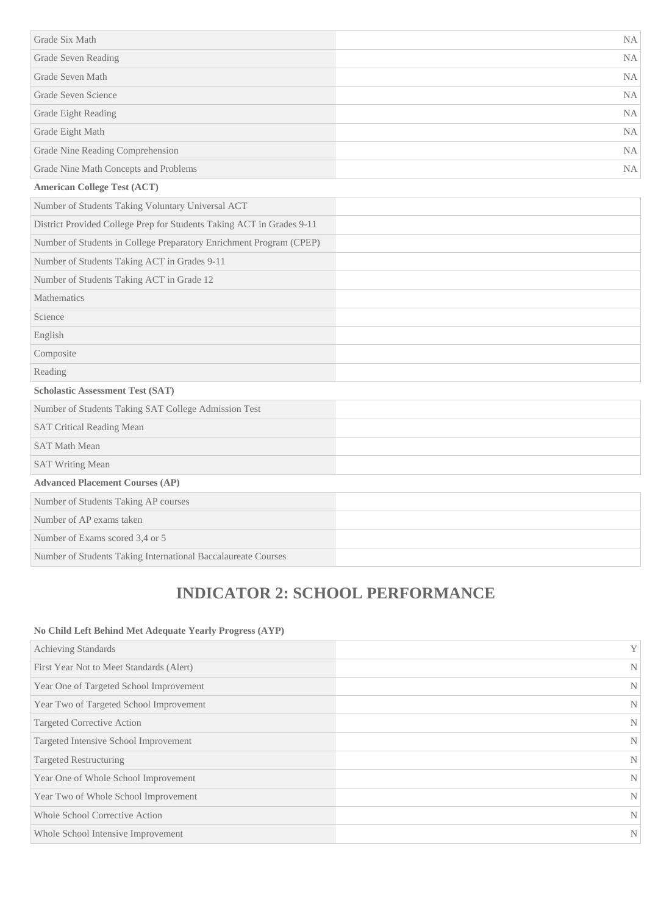| Grade Six Math                                                        | <b>NA</b> |
|-----------------------------------------------------------------------|-----------|
| Grade Seven Reading                                                   | <b>NA</b> |
| Grade Seven Math                                                      | <b>NA</b> |
| Grade Seven Science                                                   | <b>NA</b> |
| Grade Eight Reading                                                   | NA        |
| Grade Eight Math                                                      | <b>NA</b> |
| Grade Nine Reading Comprehension                                      | NA        |
| Grade Nine Math Concepts and Problems                                 | <b>NA</b> |
| <b>American College Test (ACT)</b>                                    |           |
| Number of Students Taking Voluntary Universal ACT                     |           |
| District Provided College Prep for Students Taking ACT in Grades 9-11 |           |
| Number of Students in College Preparatory Enrichment Program (CPEP)   |           |
| Number of Students Taking ACT in Grades 9-11                          |           |
| Number of Students Taking ACT in Grade 12                             |           |
| Mathematics                                                           |           |
| Science                                                               |           |
| English                                                               |           |
| Composite                                                             |           |
| Reading                                                               |           |
| <b>Scholastic Assessment Test (SAT)</b>                               |           |
| Number of Students Taking SAT College Admission Test                  |           |
| <b>SAT Critical Reading Mean</b>                                      |           |
| <b>SAT Math Mean</b>                                                  |           |
| <b>SAT Writing Mean</b>                                               |           |
| <b>Advanced Placement Courses (AP)</b>                                |           |
| Number of Students Taking AP courses                                  |           |
| Number of AP exams taken                                              |           |
| Number of Exams scored 3,4 or 5                                       |           |
| Number of Students Taking International Baccalaureate Courses         |           |

# **INDICATOR 2: SCHOOL PERFORMANCE**

#### **No Child Left Behind Met Adequate Yearly Progress (AYP)**

| <b>Achieving Standards</b>               | Y |
|------------------------------------------|---|
| First Year Not to Meet Standards (Alert) | N |
| Year One of Targeted School Improvement  | N |
| Year Two of Targeted School Improvement  | N |
| Targeted Corrective Action               | N |
| Targeted Intensive School Improvement    | N |
| <b>Targeted Restructuring</b>            | N |
| Year One of Whole School Improvement     | N |
| Year Two of Whole School Improvement     | N |
| <b>Whole School Corrective Action</b>    | N |
| Whole School Intensive Improvement       | N |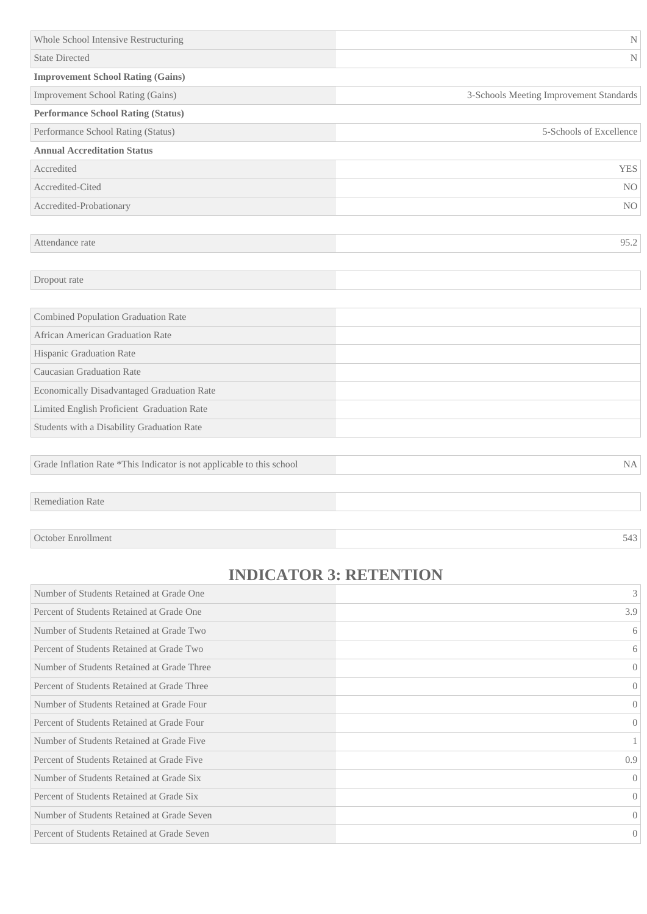| Whole School Intensive Restructuring       | $\mathbf N$                             |
|--------------------------------------------|-----------------------------------------|
| <b>State Directed</b>                      | N                                       |
| <b>Improvement School Rating (Gains)</b>   |                                         |
| Improvement School Rating (Gains)          | 3-Schools Meeting Improvement Standards |
| <b>Performance School Rating (Status)</b>  |                                         |
| Performance School Rating (Status)         | 5-Schools of Excellence                 |
| <b>Annual Accreditation Status</b>         |                                         |
| Accredited                                 | <b>YES</b>                              |
| Accredited-Cited                           | N <sub>O</sub>                          |
| Accredited-Probationary                    | N <sub>O</sub>                          |
|                                            |                                         |
| Attendance rate                            | 95.2                                    |
|                                            |                                         |
| Dropout rate                               |                                         |
|                                            |                                         |
| <b>Combined Population Graduation Rate</b> |                                         |
| African American Graduation Rate           |                                         |
| Hispanic Graduation Rate                   |                                         |
| <b>Caucasian Graduation Rate</b>           |                                         |
| Economically Disadvantaged Graduation Rate |                                         |
| Limited English Proficient Graduation Rate |                                         |

Students with a Disability Graduation Rate

Grade Inflation Rate \*This Indicator is not applicable to this school NA

Remediation Rate

October Enrollment 543

## **INDICATOR 3: RETENTION**

| Number of Students Retained at Grade One    | 3                |
|---------------------------------------------|------------------|
| Percent of Students Retained at Grade One   | 3.9              |
| Number of Students Retained at Grade Two    | 6                |
| Percent of Students Retained at Grade Two   | 6                |
| Number of Students Retained at Grade Three  | $\theta$         |
| Percent of Students Retained at Grade Three | $\theta$         |
| Number of Students Retained at Grade Four   | $\left($         |
| Percent of Students Retained at Grade Four  | $\left( \right)$ |
| Number of Students Retained at Grade Five   |                  |
| Percent of Students Retained at Grade Five  | 0.9              |
| Number of Students Retained at Grade Six    | $\left($         |
| Percent of Students Retained at Grade Six   | $\left( \right)$ |
| Number of Students Retained at Grade Seven  | $\left($         |
| Percent of Students Retained at Grade Seven | $\theta$         |